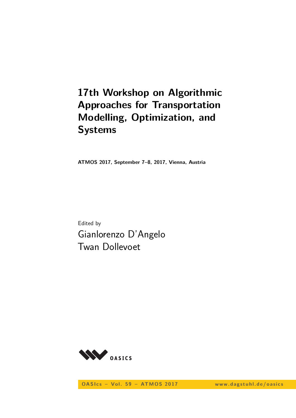# **17th Workshop on Algorithmic Approaches for Transportation Modelling, Optimization, and Systems**

**ATMOS 2017, September 7–8, 2017, Vienna, Austria**

Edited by Gianlorenzo D'Angelo Twan Dollevoet



**OASIcs - Vol. 59 - ATMOS 2017** www.dagstuhl.de/oasics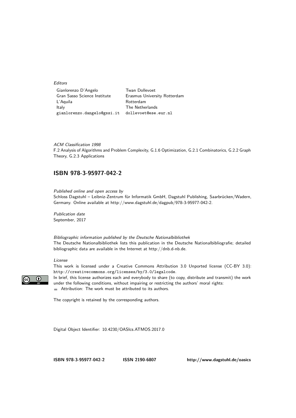Editors

| Gianlorenzo D'Angelo         | <b>Twan Dollevoet</b>        |
|------------------------------|------------------------------|
| Gran Sasso Science Institute | Erasmus University Rotterdam |
| L'Aquila                     | Rotterdam                    |
| Italy                        | The Netherlands              |
| gianlorenzo.dangelo@gssi.it  | dollevoet@ese.eur.nl         |
|                              |                              |

ACM Classification 1998 F.2 Analysis of Algorithms and Problem Complexity, G.1.6 Optimization, G.2.1 Combinatorics, G.2.2 Graph Theory, G.2.3 Applications

### **[ISBN 978-3-95977-042-2](http://www.dagstuhl.de/dagpub/978-3-95977-042-2)**

Published online and open access by Schloss Dagstuhl – Leibniz-Zentrum für Informatik GmbH, Dagstuhl Publishing, Saarbrücken/Wadern, Germany. Online available at [http://www.dagstuhl.de/dagpub/978-3-95977-042-2.](http://www.dagstuhl.de/dagpub/978-3-95977-042-2)

Publication date September, 2017

Bibliographic information published by the Deutsche Nationalbibliothek The Deutsche Nationalbibliothek lists this publication in the Deutsche Nationalbibliografie; detailed bibliographic data are available in the Internet at [http://dnb.d-nb.de.](http://dnb.d-nb.de)

#### License

 $\odot$ 

This work is licensed under a Creative Commons Attribution 3.0 Unported license (CC-BY 3.0): http://creativecommons.org/licenses/by/3.0/legalcode.

In brief, this license authorizes each and everybody to share (to copy, distribute and transmit) the work under the following conditions, without impairing or restricting the authors' moral rights: Attribution: The work must be attributed to its authors.

The copyright is retained by the corresponding authors.

Digital Object Identifier: [10.4230/OASIcs.ATMOS.2017.0](http://dx.doi.org/10.4230/OASIcs.ATMOS.2017.0)

**[ISBN 978-3-95977-042-2](http://www.dagstuhl.de/dagpub/978-3-95977-042-2) [ISSN 2190-6807](http://drops.dagstuhl.de/oasics)<http://www.dagstuhl.de/oasics>**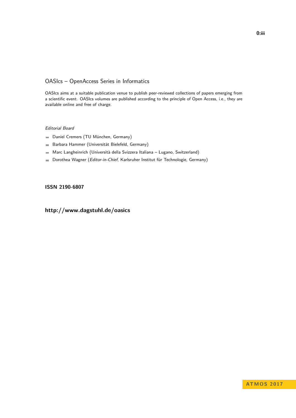### OASIcs – OpenAccess Series in Informatics

OASIcs aims at a suitable publication venue to publish peer-reviewed collections of papers emerging from a scientific event. OASIcs volumes are published according to the principle of Open Access, i.e., they are available online and free of charge.

#### Editorial Board

- Daniel Cremers (TU München, Germany)
- Barbara Hammer (Universität Bielefeld, Germany)  $\frac{1}{2}$
- Marc Langheinrich (Università della Svizzera Italiana Lugano, Switzerland)
- Dorothea Wagner (Editor-in-Chief, Karlsruher Institut für Technologie, Germany)  $\blacksquare$

#### **[ISSN 2190-6807](http://www.dagstuhl.de/dagpub/2190-6807)**

### **<http://www.dagstuhl.de/oasics>**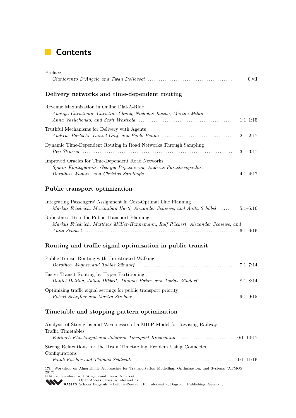## **Contents**

| Preface                                                                                                                 |            |
|-------------------------------------------------------------------------------------------------------------------------|------------|
|                                                                                                                         | $0:$ vii   |
| Delivery networks and time-dependent routing                                                                            |            |
| Revenue Maximization in Online Dial-A-Ride<br>Ananya Christman, Christine Chung, Nicholas Jaczko, Marina Milan,         | $1:1-1:15$ |
| Truthful Mechanisms for Delivery with Agents<br>Andreas Bärtschi, Daniel Graf, and Paolo Penna                          | $2:1-2:17$ |
| Dynamic Time-Dependent Routing in Road Networks Through Sampling                                                        | $3:1-3:17$ |
| Improved Oracles for Time-Dependent Road Networks<br>Spyros Kontogiannis, Georgia Papastavrou, Andreas Paraskevopoulos, | $4:1-4:17$ |
| Public transport optimization                                                                                           |            |
| Integrating Passengers' Assignment in Cost-Optimal Line Planning                                                        |            |

| Markus Friedrich, Maximilian Hartl, Alexander Schiewe, and Anita Schöbel          | $5:1 - 5:16$ |
|-----------------------------------------------------------------------------------|--------------|
| Robustness Tests for Public Transport Planning                                    |              |
| Markus Friedrich, Matthias Müller-Hannemann, Ralf Rückert, Alexander Schiewe, and |              |
|                                                                                   | $6:1-6:16$   |

### **Routing and traffic signal optimization in public transit**

| Public Transit Routing with Unrestricted Walking                 |  |
|------------------------------------------------------------------|--|
|                                                                  |  |
| Faster Transit Routing by Hyper Partitioning                     |  |
| Optimizing traffic signal settings for public transport priority |  |
|                                                                  |  |

### **Timetable and stopping pattern optimization**

| Analysis of Strengths and Weaknesses of a MILP Model for Revising Railway                                                                                                             |
|---------------------------------------------------------------------------------------------------------------------------------------------------------------------------------------|
| Traffic Timetables                                                                                                                                                                    |
|                                                                                                                                                                                       |
| Strong Relaxations for the Train Timetabling Problem Using Connected                                                                                                                  |
| Configurations                                                                                                                                                                        |
|                                                                                                                                                                                       |
| 17th Workshop on Algorithmic Approaches for Transportation Modelling, Optimization, and Systems (ATMOS)<br>$2017$ .                                                                   |
| Editors: Gianlorenzo D'Angelo and Twan Dollevoet                                                                                                                                      |
| Open Access Series in Informatics<br><b>SCALL CONTAGE SERIES</b><br><b>SCALL CONTAGE OF A LIGHTER SCALL CONTAGE OF A LIGHTER SCALL CONTAGE OF A LIGHTER SCALL PUBLISHING, Germany</b> |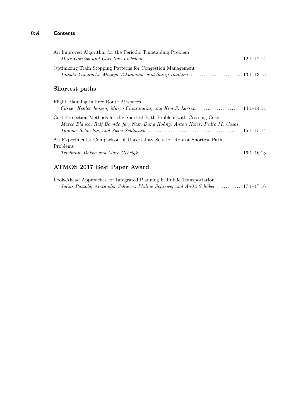### **0:vi Contents**

| An Improved Algorithm for the Periodic Timetabling Problem                                                                                               |  |
|----------------------------------------------------------------------------------------------------------------------------------------------------------|--|
| Optimizing Train Stopping Patterns for Congestion Management                                                                                             |  |
| Shortest paths                                                                                                                                           |  |
| Flight Planning in Free Route Airspaces<br>Casper Kehlet Jensen, Marco Chiarandini, and Kim S. Larsen  14:1–14:14                                        |  |
| Cost Projection Methods for the Shortest Path Problem with Crossing Costs<br>Marco Blanco, Ralf Borndörfer, Nam Dũng Hoàng, Anton Kaier, Pedro M. Casas, |  |
| An Experimental Comparison of Uncertainty Sets for Robust Shortest Path<br>Problems                                                                      |  |

*Trivikram Dokka and Marc Goerigk* . . . . . . . . . . . . . . . . . . . . . . . . . . . . . . . . . . . . . . . . . . . . . . 16:1–16:13

### **ATMOS 2017 Best Paper Award**

| Look-Ahead Approaches for Integrated Planning in Public Transportation            |  |  |
|-----------------------------------------------------------------------------------|--|--|
| Julius Pätzold, Alexander Schiewe, Philine Schiewe, and Anita Schöbel  17:1–17:16 |  |  |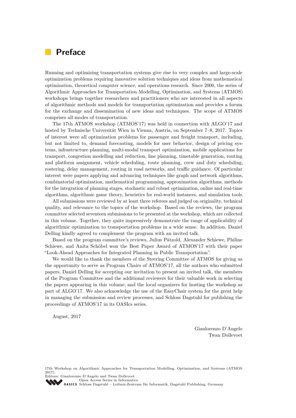### **Preface**

Running and optimizing transportation systems give rise to very complex and large-scale optimization problems requiring innovative solution techniques and ideas from mathematical optimization, theoretical computer science, and operations research. Since 2000, the series of Algorithmic Approaches for Transportation Modelling, Optimization, and Systems (ATMOS) workshops brings together researchers and practitioners who are interested in all aspects of algorithmic methods and models for transportation optimization and provides a forum for the exchange and dissemination of new ideas and techniques. The scope of ATMOS comprises all modes of transportation.

The 17th ATMOS workshop (ATMOS'17) was held in connection with ALGO'17 and hosted by Technische Universität Wien in Vienna, Austria, on September 7–8, 2017. Topics of interest were all optimization problems for passenger and freight transport, including, but not limited to, demand forecasting, models for user behavior, design of pricing systems, infrastructure planning, multi-modal transport optimization, mobile applications for transport, congestion modelling and reduction, line planning, timetable generation, routing and platform assignment, vehicle scheduling, route planning, crew and duty scheduling, rostering, delay management, routing in road networks, and traffic guidance. Of particular interest were papers applying and advancing techniques like graph and network algorithms, combinatorial optimization, mathematical programming, approximation algorithms, methods for the integration of planning stages, stochastic and robust optimization, online and real-time algorithms, algorithmic game theory, heuristics for real-world instances, and simulation tools.

All submissions were reviewed by at least three referees and judged on originality, technical quality, and relevance to the topics of the workshop. Based on the reviews, the program committee selected seventeen submissions to be presented at the workshop, which are collected in this volume. Together, they quite impressively demonstrate the range of applicability of algorithmic optimization to transportation problems in a wide sense. In addition, Daniel Delling kindly agreed to complement the program with an invited talk.

Based on the program committee's reviews, Julius Pätzold, Alexander Schiewe, Philine Schiewe, and Anita Schöbel won the Best Paper Award of ATMOS'17 with their paper "Look-Ahead Approaches for Integrated Planning in Public Transportation".

We would like to thank the members of the Steering Committee of ATMOS for giving us the opportunity to serve as Program Chairs of ATMOS'17, all the authors who submitted papers, Daniel Delling for accepting our invitation to present an invited talk, the members of the Program Committee and the additional reviewers for their valuable work in selecting the papers appearing in this volume, and the local organizers for hosting the workshop as part of ALGO'17. We also acknowledge the use of the EasyChair system for the great help in managing the submission and review processes, and Schloss Dagstuhl for publishing the proceedings of ATMOS'17 in its OASIcs series.

August, 2017

Gianlorenzo D'Angelo Twan Dollevoet

17th Workshop on Algorithmic Approaches for Transportation Modelling, Optimization, and Systems (ATMOS 2017).

Editors: Gianlorenzo D'Angelo and Twan Dollevoet [Open Access Series in Informatics](http://www.dagstuhl.de/en/publications/oasics/)

OASICS [Schloss Dagstuhl – Leibniz-Zentrum für Informatik, Dagstuhl Publishing, Germany](http://www.dagstuhl.de/en/about-dagstuhl/)